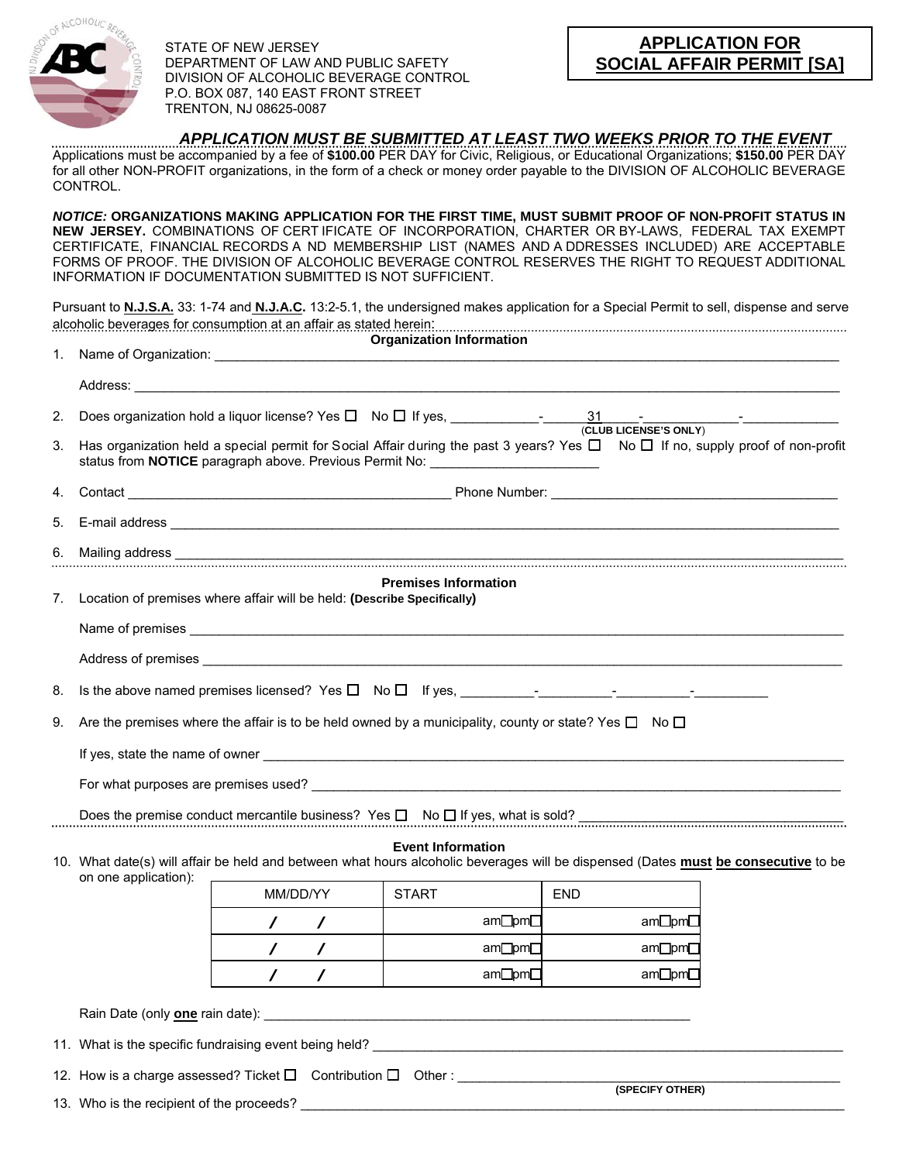

STATE OF NEW JERSEY DEPARTMENT OF LAW AND PUBLIC SAFETY DIVISION OF ALCOHOLIC BEVERAGE CONTROL P.O. BOX 087, 140 EAST FRONT STREET TRENTON, NJ 08625-0087

*APPLICATION MUST BE SUBMITTED AT LEAST TWO WEEKS PRIOR TO THE EVENT* 

Applications must be accompanied by a fee of **\$100.00** PER DAY for Civic, Religious, or Educational Organizations; **\$150.00** PER DAY for all other NON-PROFIT organizations, in the form of a check or money order payable to the DIVISION OF ALCOHOLIC BEVERAGE CONTROL.

*NOTICE:* **ORGANIZATIONS MAKING APPLICATION FOR THE FIRST TIME, MUST SUBMIT PROOF OF NON-PROFIT STATUS IN NEW JERSEY.** COMBINATIONS OF CERT IFICATE OF INCORPORATION, CHARTER OR BY-LAWS, FEDERAL TAX EXEMPT CERTIFICATE, FINANCIAL RECORDS A ND MEMBERSHIP LIST (NAMES AND A DDRESSES INCLUDED) ARE ACCEPTABLE FORMS OF PROOF. THE DIVISION OF ALCOHOLIC BEVERAGE CONTROL RESERVES THE RIGHT TO REQUEST ADDITIONAL INFORMATION IF DOCUMENTATION SUBMITTED IS NOT SUFFICIENT.

Pursuant to **N.J.S.A.** 33: 1-74 and **N.J.A.C.** 13:2-5.1, the undersigned makes application for a Special Permit to sell, dispense and serve alcoholic beverages for consumption at an affair as stated herein:

|    | <b>Organization Information</b>                                                                                                                                                                                              |  |  |  |  |  |  |  |
|----|------------------------------------------------------------------------------------------------------------------------------------------------------------------------------------------------------------------------------|--|--|--|--|--|--|--|
|    |                                                                                                                                                                                                                              |  |  |  |  |  |  |  |
| 2. |                                                                                                                                                                                                                              |  |  |  |  |  |  |  |
| 3. | Has organization held a special permit for Social Affair during the past 3 years? Yes $\Box$ No $\Box$ If no, supply proof of non-profit<br>status from NOTICE paragraph above. Previous Permit No: ________________________ |  |  |  |  |  |  |  |
| 4. |                                                                                                                                                                                                                              |  |  |  |  |  |  |  |
| 5. |                                                                                                                                                                                                                              |  |  |  |  |  |  |  |
| 6. |                                                                                                                                                                                                                              |  |  |  |  |  |  |  |
|    | <b>Premises Information</b><br>7. Location of premises where affair will be held: (Describe Specifically)                                                                                                                    |  |  |  |  |  |  |  |
| 8. |                                                                                                                                                                                                                              |  |  |  |  |  |  |  |
| 9. | Are the premises where the affair is to be held owned by a municipality, county or state? Yes $\square$ No $\square$                                                                                                         |  |  |  |  |  |  |  |
|    |                                                                                                                                                                                                                              |  |  |  |  |  |  |  |
|    |                                                                                                                                                                                                                              |  |  |  |  |  |  |  |
|    | Does the premise conduct mercantile business? Yes $\square$ No $\square$ If yes, what is sold?                                                                                                                               |  |  |  |  |  |  |  |
|    | <b>Event Information</b><br>10. What date(s) will affair be held and between what hours alcoholic beverages will be dispensed (Dates must be consecutive to be<br>on one application):                                       |  |  |  |  |  |  |  |
|    | MM/DD/YY<br><b>START</b><br><b>END</b>                                                                                                                                                                                       |  |  |  |  |  |  |  |
|    | am□pm□<br>am□pm□<br>$\mathcal{L}$                                                                                                                                                                                            |  |  |  |  |  |  |  |
|    | am□pm□<br>am□pm□<br>$\prime$<br>$\prime$                                                                                                                                                                                     |  |  |  |  |  |  |  |
|    | am□pm□<br>am□pm□<br>$\prime$<br>$\prime$                                                                                                                                                                                     |  |  |  |  |  |  |  |
|    |                                                                                                                                                                                                                              |  |  |  |  |  |  |  |
|    |                                                                                                                                                                                                                              |  |  |  |  |  |  |  |
|    | (SPECIFY OTHER)                                                                                                                                                                                                              |  |  |  |  |  |  |  |
|    |                                                                                                                                                                                                                              |  |  |  |  |  |  |  |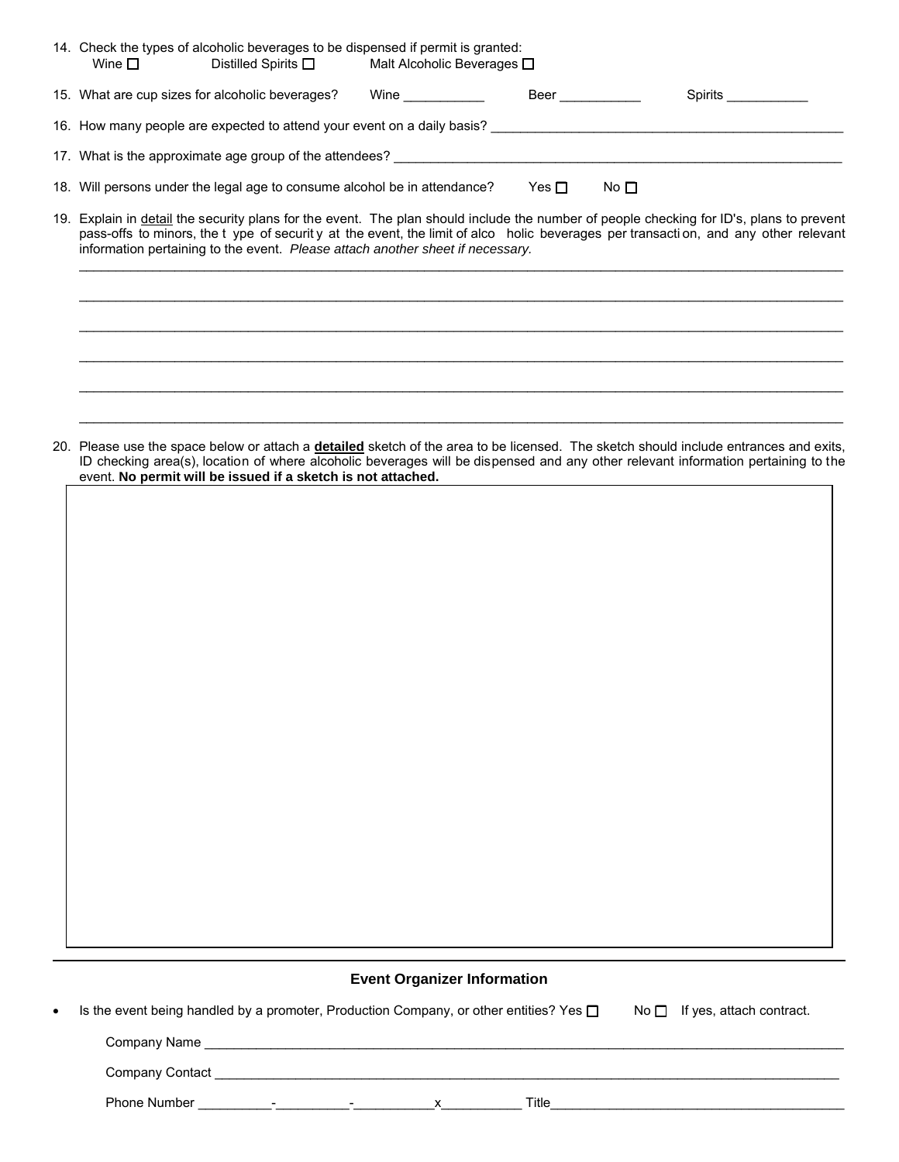| 14. Check the types of alcoholic beverages to be dispensed if permit is granted:<br>Wine $\Box$<br>Distilled Spirits □ Malt Alcoholic Beverages □                                                                                                                                                                                                                |  |  |  |  |  |  |
|------------------------------------------------------------------------------------------------------------------------------------------------------------------------------------------------------------------------------------------------------------------------------------------------------------------------------------------------------------------|--|--|--|--|--|--|
| Beer ___________<br>15. What are cup sizes for alcoholic beverages?<br>Wine <b>Example 2019</b><br>Spirits                                                                                                                                                                                                                                                       |  |  |  |  |  |  |
| 16. How many people are expected to attend your event on a daily basis?                                                                                                                                                                                                                                                                                          |  |  |  |  |  |  |
| 17. What is the approximate age group of the attendees? _________________________                                                                                                                                                                                                                                                                                |  |  |  |  |  |  |
| Yes $\Box$<br>18. Will persons under the legal age to consume alcohol be in attendance?<br>No $\Box$                                                                                                                                                                                                                                                             |  |  |  |  |  |  |
| 19. Explain in detail the security plans for the event. The plan should include the number of people checking for ID's, plans to prevent<br>pass-offs to minors, the t ype of security at the event, the limit of alco holic beverages per transaction, and any other relevant<br>information pertaining to the event. Please attach another sheet if necessary. |  |  |  |  |  |  |
|                                                                                                                                                                                                                                                                                                                                                                  |  |  |  |  |  |  |
|                                                                                                                                                                                                                                                                                                                                                                  |  |  |  |  |  |  |
|                                                                                                                                                                                                                                                                                                                                                                  |  |  |  |  |  |  |

20. Please use the space below or attach a **detailed** sketch of the area to be licensed. The sketch should include entrances and exits, ID checking area(s), location of where alcoholic beverages will be dispensed and any other relevant information pertaining to the event. **No permit will be issued if a sketch is not attached.** 

\_\_\_\_\_\_\_\_\_\_\_\_\_\_\_\_\_\_\_\_\_\_\_\_\_\_\_\_\_\_\_\_\_\_\_\_\_\_\_\_\_\_\_\_\_\_\_\_\_\_\_\_\_\_\_\_\_\_\_\_\_\_\_\_\_\_\_\_\_\_\_\_\_\_\_\_\_\_\_\_\_\_\_\_\_\_\_\_\_\_\_\_\_\_\_\_\_\_\_\_\_\_\_\_

\_\_\_\_\_\_\_\_\_\_\_\_\_\_\_\_\_\_\_\_\_\_\_\_\_\_\_\_\_\_\_\_\_\_\_\_\_\_\_\_\_\_\_\_\_\_\_\_\_\_\_\_\_\_\_\_\_\_\_\_\_\_\_\_\_\_\_\_\_\_\_\_\_\_\_\_\_\_\_\_\_\_\_\_\_\_\_\_\_\_\_\_\_\_\_\_\_\_\_\_\_\_\_\_

## **Event Organizer Information**

| $\bullet$ | Is the event being handled by a promoter, Production Company, or other entities? Yes $\square$ |                          |  |  |       | $No \Box$ If yes, attach contract. |  |  |
|-----------|------------------------------------------------------------------------------------------------|--------------------------|--|--|-------|------------------------------------|--|--|
|           | Company Name                                                                                   |                          |  |  |       |                                    |  |  |
|           | Company Contact                                                                                |                          |  |  |       |                                    |  |  |
|           | <b>Phone Number</b>                                                                            | $\overline{\phantom{0}}$ |  |  | Title |                                    |  |  |